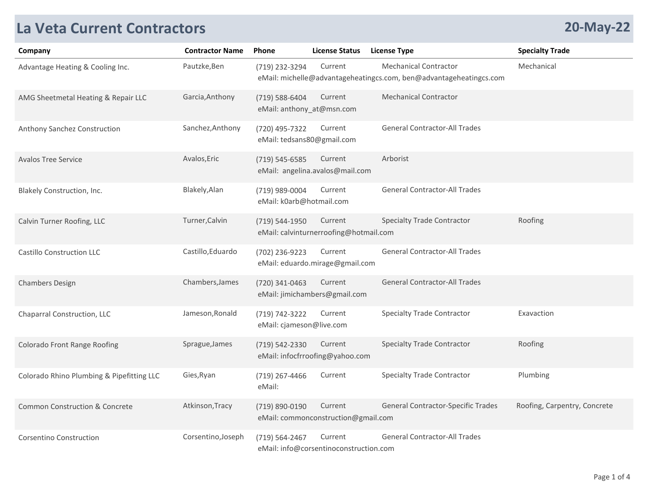## **La Veta Current Contractors**

|  | <b>20-May-22</b> |
|--|------------------|
|--|------------------|

| Company                                   | <b>Contractor Name</b> | <b>Phone</b>                                 | <b>License Status</b>                             | License Type                                                                                       | <b>Specialty Trade</b>       |
|-------------------------------------------|------------------------|----------------------------------------------|---------------------------------------------------|----------------------------------------------------------------------------------------------------|------------------------------|
| Advantage Heating & Cooling Inc.          | Pautzke, Ben           | (719) 232-3294                               | Current                                           | <b>Mechanical Contractor</b><br>eMail: michelle@advantageheatingcs.com, ben@advantageheatingcs.com | Mechanical                   |
| AMG Sheetmetal Heating & Repair LLC       | Garcia, Anthony        | (719) 588-6404<br>eMail: anthony_at@msn.com  | Current                                           | <b>Mechanical Contractor</b>                                                                       |                              |
| Anthony Sanchez Construction              | Sanchez, Anthony       | (720) 495-7322<br>eMail: tedsans80@gmail.com | Current                                           | <b>General Contractor-All Trades</b>                                                               |                              |
| <b>Avalos Tree Service</b>                | Avalos, Eric           | (719) 545-6585                               | Current<br>eMail: angelina.avalos@mail.com        | Arborist                                                                                           |                              |
| Blakely Construction, Inc.                | Blakely, Alan          | (719) 989-0004<br>eMail: k0arb@hotmail.com   | Current                                           | <b>General Contractor-All Trades</b>                                                               |                              |
| Calvin Turner Roofing, LLC                | Turner, Calvin         | (719) 544-1950                               | Current<br>eMail: calvinturnerroofing@hotmail.com | <b>Specialty Trade Contractor</b>                                                                  | Roofing                      |
| Castillo Construction LLC                 | Castillo, Eduardo      | (702) 236-9223                               | Current<br>eMail: eduardo.mirage@gmail.com        | <b>General Contractor-All Trades</b>                                                               |                              |
| <b>Chambers Design</b>                    | Chambers, James        | (720) 341-0463                               | Current<br>eMail: jimichambers@gmail.com          | <b>General Contractor-All Trades</b>                                                               |                              |
| Chaparral Construction, LLC               | Jameson, Ronald        | (719) 742-3222<br>eMail: cjameson@live.com   | Current                                           | <b>Specialty Trade Contractor</b>                                                                  | Exavaction                   |
| <b>Colorado Front Range Roofing</b>       | Sprague, James         | (719) 542-2330                               | Current<br>eMail: infocfrroofing@yahoo.com        | <b>Specialty Trade Contractor</b>                                                                  | Roofing                      |
| Colorado Rhino Plumbing & Pipefitting LLC | Gies, Ryan             | (719) 267-4466<br>eMail:                     | Current                                           | <b>Specialty Trade Contractor</b>                                                                  | Plumbing                     |
| <b>Common Construction &amp; Concrete</b> | Atkinson, Tracy        | (719) 890-0190                               | Current<br>eMail: commonconstruction@gmail.com    | General Contractor-Specific Trades                                                                 | Roofing, Carpentry, Concrete |
| <b>Corsentino Construction</b>            | Corsentino, Joseph     | (719) 564-2467                               | Current<br>eMail: info@corsentinoconstruction.com | <b>General Contractor-All Trades</b>                                                               |                              |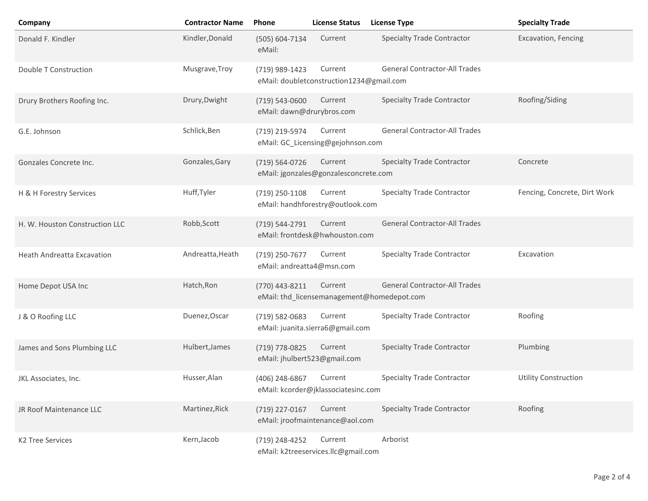| Company                           | <b>Contractor Name</b> | Phone                                       | <b>License Status</b>                                 | <b>License Type</b>                  | <b>Specialty Trade</b>       |
|-----------------------------------|------------------------|---------------------------------------------|-------------------------------------------------------|--------------------------------------|------------------------------|
| Donald F. Kindler                 | Kindler, Donald        | (505) 604-7134<br>eMail:                    | Current                                               | <b>Specialty Trade Contractor</b>    | Excavation, Fencing          |
| Double T Construction             | Musgrave, Troy         | (719) 989-1423                              | Current<br>eMail: doubletconstruction1234@gmail.com   | <b>General Contractor-All Trades</b> |                              |
| Drury Brothers Roofing Inc.       | Drury, Dwight          | (719) 543-0600<br>eMail: dawn@drurybros.com | Current                                               | <b>Specialty Trade Contractor</b>    | Roofing/Siding               |
| G.E. Johnson                      | Schlick, Ben           | (719) 219-5974                              | Current<br>eMail: GC_Licensing@gejohnson.com          | <b>General Contractor-All Trades</b> |                              |
| Gonzales Concrete Inc.            | Gonzales, Gary         | (719) 564-0726                              | Current<br>eMail: jgonzales@gonzalesconcrete.com      | <b>Specialty Trade Contractor</b>    | Concrete                     |
| H & H Forestry Services           | Huff, Tyler            | (719) 250-1108                              | Current<br>eMail: handhforestry@outlook.com           | <b>Specialty Trade Contractor</b>    | Fencing, Concrete, Dirt Work |
| H. W. Houston Construction LLC    | Robb, Scott            | (719) 544-2791                              | Current<br>eMail: frontdesk@hwhouston.com             | <b>General Contractor-All Trades</b> |                              |
| <b>Heath Andreatta Excavation</b> | Andreatta, Heath       | (719) 250-7677<br>eMail: andreatta4@msn.com | Current                                               | <b>Specialty Trade Contractor</b>    | Excavation                   |
| Home Depot USA Inc                | Hatch, Ron             | (770) 443-8211                              | Current<br>eMail: thd_licensemanagement@homedepot.com | <b>General Contractor-All Trades</b> |                              |
| J & O Roofing LLC                 | Duenez, Oscar          | (719) 582-0683                              | Current<br>eMail: juanita.sierra6@gmail.com           | <b>Specialty Trade Contractor</b>    | Roofing                      |
| James and Sons Plumbing LLC       | Hulbert, James         | (719) 778-0825                              | Current<br>eMail: jhulbert523@gmail.com               | <b>Specialty Trade Contractor</b>    | Plumbing                     |
| JKL Associates, Inc.              | Husser, Alan           | (406) 248-6867                              | Current<br>eMail: kcorder@jklassociatesinc.com        | <b>Specialty Trade Contractor</b>    | <b>Utility Construction</b>  |
| JR Roof Maintenance LLC           | Martinez, Rick         | (719) 227-0167                              | Current<br>eMail: jroofmaintenance@aol.com            | <b>Specialty Trade Contractor</b>    | Roofing                      |
| <b>K2 Tree Services</b>           | Kern, Jacob            | (719) 248-4252                              | Current<br>eMail: k2treeservices.llc@gmail.com        | Arborist                             |                              |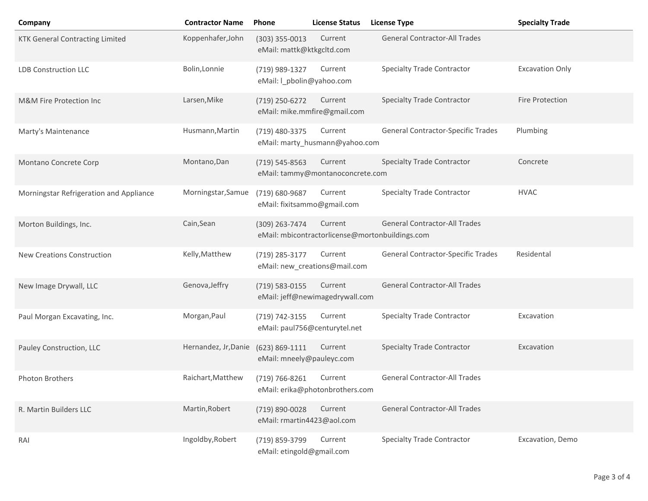| Company                                 | <b>Contractor Name</b> | Phone                                         | <b>License Status</b>                       | <b>License Type</b>                                                                     | <b>Specialty Trade</b> |
|-----------------------------------------|------------------------|-----------------------------------------------|---------------------------------------------|-----------------------------------------------------------------------------------------|------------------------|
| <b>KTK General Contracting Limited</b>  | Koppenhafer, John      | $(303)$ 355-0013<br>eMail: mattk@ktkgcltd.com | Current                                     | <b>General Contractor-All Trades</b>                                                    |                        |
| <b>LDB Construction LLC</b>             | Bolin, Lonnie          | (719) 989-1327<br>eMail: I_pbolin@yahoo.com   | Current                                     | <b>Specialty Trade Contractor</b>                                                       | <b>Excavation Only</b> |
| M&M Fire Protection Inc                 | Larsen, Mike           | (719) 250-6272                                | Current<br>eMail: mike.mmfire@gmail.com     | <b>Specialty Trade Contractor</b>                                                       | Fire Protection        |
| Marty's Maintenance                     | Husmann, Martin        | (719) 480-3375                                | Current<br>eMail: marty_husmann@yahoo.com   | General Contractor-Specific Trades                                                      | Plumbing               |
| Montano Concrete Corp                   | Montano, Dan           | (719) 545-8563                                | Current<br>eMail: tammy@montanoconcrete.com | <b>Specialty Trade Contractor</b>                                                       | Concrete               |
| Morningstar Refrigeration and Appliance | Morningstar, Samue     | (719) 680-9687<br>eMail: fixitsammo@gmail.com | Current                                     | <b>Specialty Trade Contractor</b>                                                       | <b>HVAC</b>            |
| Morton Buildings, Inc.                  | Cain, Sean             | (309) 263-7474                                | Current                                     | <b>General Contractor-All Trades</b><br>eMail: mbicontractorlicense@mortonbuildings.com |                        |
| <b>New Creations Construction</b>       | Kelly, Matthew         | (719) 285-3177                                | Current<br>eMail: new_creations@mail.com    | General Contractor-Specific Trades                                                      | Residental             |
| New Image Drywall, LLC                  | Genova, Jeffry         | (719) 583-0155                                | Current<br>eMail: jeff@newimagedrywall.com  | <b>General Contractor-All Trades</b>                                                    |                        |
| Paul Morgan Excavating, Inc.            | Morgan, Paul           | (719) 742-3155                                | Current<br>eMail: paul756@centurytel.net    | <b>Specialty Trade Contractor</b>                                                       | Excavation             |
| Pauley Construction, LLC                | Hernandez, Jr, Danie   | (623) 869-1111<br>eMail: mneely@pauleyc.com   | Current                                     | <b>Specialty Trade Contractor</b>                                                       | Excavation             |
| Photon Brothers                         | Raichart, Matthew      | (719) 766-8261                                | Current<br>eMail: erika@photonbrothers.com  | <b>General Contractor-All Trades</b>                                                    |                        |
| R. Martin Builders LLC                  | Martin, Robert         | (719) 890-0028<br>eMail: rmartin4423@aol.com  | Current                                     | <b>General Contractor-All Trades</b>                                                    |                        |
| RAI                                     | Ingoldby, Robert       | (719) 859-3799<br>eMail: etingold@gmail.com   | Current                                     | <b>Specialty Trade Contractor</b>                                                       | Excavation, Demo       |